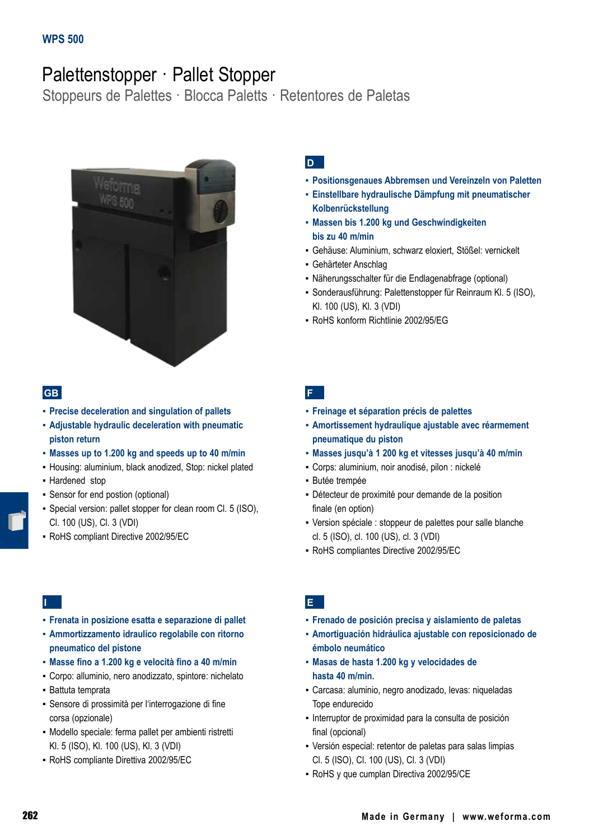# Palettenstopper · Pallet Stopper

Stoppeurs de Palettes · Blocca Paletts · Retentores de Paletas



## **GB**

- **▪ Precise deceleration and singulation of pallets**
- **▪ Adjustable hydraulic deceleration with pneumatic piston return**
- **▪ Masses up to 1.200 kg and speeds up to 40 m/min**
- Housing: aluminium, black anodized, Stop: nickel plated
- Hardened stop
- Sensor for end postion (optional)
- Special version: pallet stopper for clean room Cl. 5 (ISO), Cl. 100 (US), Cl. 3 (VDI)
- RoHS compliant Directive 2002/95/EC

## **D**

- **▪ Positionsgenaues Abbremsen und Vereinzeln von Paletten**
- **▪ Einstellbare hydraulische Dämpfung mit pneumatischer Kolbenrückstellung**
- **▪ Massen bis 1.200 kg und Geschwindigkeiten bis zu 40 m/min**
- Gehäuse: Aluminium, schwarz eloxiert, Stößel: vernickelt
- Gehärteter Anschlag
- Näherungsschalter für die Endlagenabfrage (optional)
- Sonderausführung: Palettenstopper für Reinraum Kl. 5 (ISO), Kl. 100 (US), Kl. 3 (VDI)
- RoHS konform Richtlinie 2002/95/EG

**F**

- **▪ Freinage et séparation précis de palettes**
- **▪ Amortissement hydraulique ajustable avec réarmement pneumatique du piston**
- **▪ Masses jusqu'à 1 200 kg et vitesses jusqu'à 40 m/min**
- Corps: aluminium, noir anodisé, pilon : nickelé
- Butée trempée
- Détecteur de proximité pour demande de la position finale (en option)
- Version spéciale : stoppeur de palettes pour salle blanche cl. 5 (ISO), cl. 100 (US), cl. 3 (VDI)
- RoHS compliantes Directive 2002/95/EC

## **I**

- **▪ Frenata in posizione esatta e separazione di pallet**
- **▪ Ammortizzamento idraulico regolabile con ritorno pneumatico del pistone**
- **▪ Masse fino a 1.200 kg e velocità fino a 40 m/min**
- Corpo: alluminio, nero anodizzato, spintore: nichelato
- Battuta temprata
- Sensore di prossimità per l'interrogazione di fine corsa (opzionale)
- Modello speciale: ferma pallet per ambienti ristretti Kl. 5 (ISO), Kl. 100 (US), Kl. 3 (VDI)
- RoHS compliante Direttiva 2002/95/EC

## **E**

- **▪ Frenado de posición precisa y aislamiento de paletas**
- **▪ Amortiguación hidráulica ajustable con reposicionado de émbolo neumático**
- **▪ Masas de hasta 1.200 kg y velocidades de hasta 40 m/min.**
- Carcasa: aluminio, negro anodizado, levas: niqueladas Tope endurecido
- Interruptor de proximidad para la consulta de posición final (opcional)
- Versión especial: retentor de paletas para salas limpias Cl. 5 (ISO), Cl. 100 (US), Cl. 3 (VDI)
- RoHS y que cumplan Directiva 2002/95/CE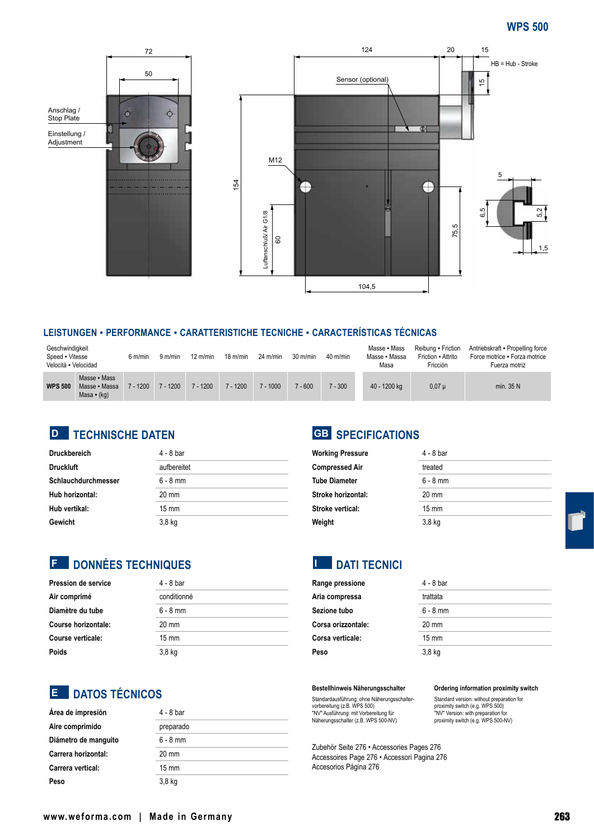

### **LEISTUNGEN ▪ PERFORMANCE ▪ CARATTERISTICHE TECNICHE ▪ CARACTERÍSTICAS TÉCNICAS**

| Geschwindigkeit<br>Speed • Vitesse<br>Velocità - Velocidad |                                                | 6 m/min    | 9 m/min | $12 \text{ m/min}$ | $18 \text{ m/min}$ | $24$ m/min | $30 \text{ m/min}$ | $40$ m/min | Masse • Mass<br>Masse • Massa<br>Masa | Reibung • Friction<br>Friction - Attrito<br>Fricción | Antriebskraft - Propelling force<br>Force motrice . Forza motrice<br>Fuerza motriz |
|------------------------------------------------------------|------------------------------------------------|------------|---------|--------------------|--------------------|------------|--------------------|------------|---------------------------------------|------------------------------------------------------|------------------------------------------------------------------------------------|
| <b>WPS 500</b>                                             | Masse • Mass<br>Masse • Massa<br>Masa $-$ (kg) | $7 - 1200$ | $-1200$ | $7 - 1200$         | $7 - 1200$         | $7 - 1000$ | $7 - 600$          | $-300$     | 40 - 1200 kg                          | $0,07 \mu$                                           | min. 35 N                                                                          |

## **TECHNISCHE DATEN D GB**

| <b>Druckbereich</b> | $4 - 8$ bar     |
|---------------------|-----------------|
| <b>Druckluft</b>    | aufbereitet     |
| Schlauchdurchmesser | $6 - 8$ mm      |
| Hub horizontal:     | $20 \text{ mm}$ |
| Hub vertikal:       | $15 \text{ mm}$ |
| Gewicht             | $3,8$ kg        |

# **SPECIFICATIONS**

| <b>Working Pressure</b> | $4 - 8$ bar     |
|-------------------------|-----------------|
| <b>Compressed Air</b>   | treated         |
| <b>Tube Diameter</b>    | $6 - 8$ mm      |
| Stroke horizontal:      | $20 \text{ mm}$ |
| Stroke vertical:        | $15 \text{ mm}$ |
| Weight                  | $3,8$ kg        |

## **E** DONNÉES TECHNIQUES

| <b>Pression de service</b> | 4 - 8 bar       |
|----------------------------|-----------------|
| Air comprimé               | conditionné     |
| Diamètre du tube           | $6 - 8$ mm      |
| Course horizontale:        | $20 \text{ mm}$ |
| Course verticale:          | $15 \text{ mm}$ |
| Poids                      | $3,8$ kg        |

# **DATOS TÉCNICOS E**

| Área de impresión    | 4 - 8 bar       |
|----------------------|-----------------|
| Aire comprimido      | preparado       |
| Diámetro de manguito | $6 - 8$ mm      |
| Carrera horizontal:  | 20 mm           |
| Carrera vertical:    | $15 \text{ mm}$ |
| Peso                 | $3,8$ kg        |

#### **Bestellhinweis Näherungsschalter**

**E** DATI TECNICI

**Range pressione** 4 - 8 bar **Aria compressa** trattata Sezione tubo<br>
6 - 8 mm **Corsa orizzontale:** 20 mm **Corsa verticale:** 15 mm **Peso** 3,8 kg

Standardausführung: ohne Näherungsschalter-vorbereitung (z.B. WPS 500) "NV" Ausführung: mit Vorbereitung für Näherungsschalter (z.B. WPS 500-NV)

Zubehör Seite 276 • Accessories Pages 276 Accessoires Page 276 • Accessori Pagina 276 Accesorios Página 276

#### **Ordering information proximity switch**

Standard version: without preparation for proximity switch (e.g. WPS 500) "NV" Version: with preparation for proximity switch (e.g. WPS 500-NV)